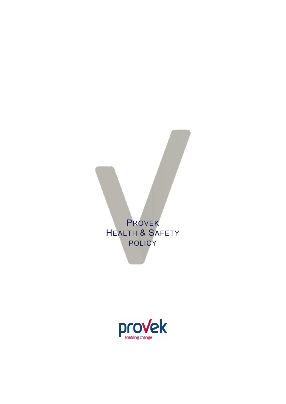# PROVEK HEALTH & SAFETY POLICY

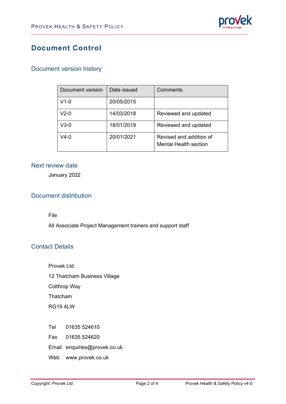

# **Document Control**

#### Document version history

| Document version | Date issued | Comments                                                |
|------------------|-------------|---------------------------------------------------------|
| $V1-0$           | 20/05/2015  |                                                         |
| V2-0             | 14/03/2018  | Reviewed and updated                                    |
| V3-0             | 18/01/2019  | Reviewed and updated                                    |
| V4-0             | 20/01/2021  | Revised and addition of<br><b>Mental Health section</b> |

#### Next review date

January 2022

#### Document distribution

File

All Associate Project Management trainers and support staff

#### Contact Details

Provek Ltd. 12 Thatcham Business Village Colthrop Way Thatcham RG19 4LW

- Tel 01635 524610
- Fax 01635 524620
- Email enquiries@provek.co.uk
- Web [www.provek.co.uk](http://www.provek.co.uk/)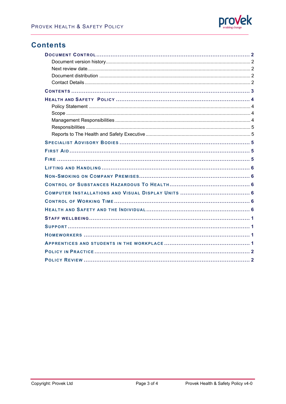

### **Contents**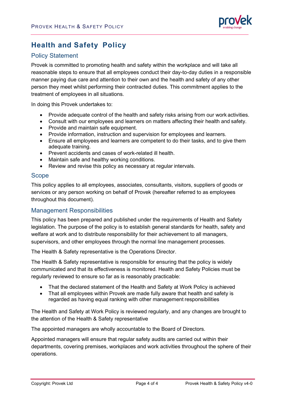

# **Health and Safety Policy**

#### Policy Statement

Provek is committed to promoting health and safety within the workplace and will take all reasonable steps to ensure that all employees conduct their day-to-day duties in a responsible manner paying due care and attention to their own and the health and safety of any other person they meet whilst performing their contracted duties. This commitment applies to the treatment of employees in all situations.

In doing this Provek undertakes to:

- Provide adequate control of the health and safety risks arising from our work activities.
- Consult with our employees and learners on matters affecting their health and safety.
- Provide and maintain safe equipment.
- Provide information, instruction and supervision for employees and learners.
- Ensure all employees and learners are competent to do their tasks, and to give them adequate training.
- Prevent accidents and cases of work-related ill health.
- Maintain safe and healthy working conditions.
- Review and revise this policy as necessary at regular intervals.

#### Scope

This policy applies to all employees, associates, consultants, visitors, suppliers of goods or services or any person working on behalf of Provek (hereafter referred to as employees throughout this document).

#### Management Responsibilities

This policy has been prepared and published under the requirements of Health and Safety legislation. The purpose of the policy is to establish general standards for health, safety and welfare at work and to distribute responsibility for their achievement to all managers, supervisors, and other employees through the normal line management processes.

The Health & Safety representative is the Operations Director.

The Health & Safety representative is responsible for ensuring that the policy is widely communicated and that its effectiveness is monitored. Health and Safety Policies must be regularly reviewed to ensure so far as is reasonably practicable:

- That the declared statement of the Health and Safety at Work Policy is achieved
- That all employees within Provek are made fully aware that health and safety is regarded as having equal ranking with other management responsibilities

The Health and Safety at Work Policy is reviewed regularly, and any changes are brought to the attention of the Health & Safety representative

The appointed managers are wholly accountable to the Board of Directors.

Appointed managers will ensure that regular safety audits are carried out within their departments, covering premises, workplaces and work activities throughout the sphere of their operations.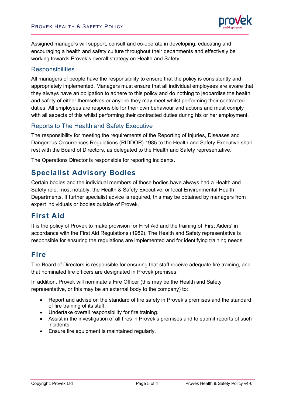

Assigned managers will support, consult and co-operate in developing, educating and encouraging a health and safety culture throughout their departments and effectively be working towards Provek's overall strategy on Health and Safety.

#### **Responsibilities**

All managers of people have the responsibility to ensure that the policy is consistently and appropriately implemented. Managers must ensure that all individual employees are aware that they always have an obligation to adhere to this policy and do nothing to jeopardise the health and safety of either themselves or anyone they may meet whilst performing their contracted duties. All employees are responsible for their own behaviour and actions and must comply with all aspects of this whilst performing their contracted duties during his or her employment.

#### Reports to The Health and Safety Executive

The responsibility for meeting the requirements of the Reporting of Injuries, Diseases and Dangerous Occurrences Regulations (RIDDOR) 1985 to the Health and Safety Executive shall rest with the Board of Directors, as delegated to the Health and Safety representative.

The Operations Director is responsible for reporting incidents.

### **Specialist Advisory Bodies**

Certain bodies and the individual members of those bodies have always had a Health and Safety role, most notably, the Health & Safety Executive, or local Environmental Health Departments. If further specialist advice is required, this may be obtained by managers from expert individuals or bodies outside of Provek.

### **First Aid**

It is the policy of Provek to make provision for First Aid and the training of 'First Aiders' in accordance with the First Aid Regulations (1982). The Health and Safety representative is responsible for ensuring the regulations are implemented and for identifying training needs.

# **Fire**

The Board of Directors is responsible for ensuring that staff receive adequate fire training, and that nominated fire officers are designated in Provek premises.

In addition, Provek will nominate a Fire Officer (this may be the Health and Safety representative, or this may be an external body to the company) to:

- Report and advise on the standard of fire safety in Provek's premises and the standard of fire training of its staff.
- Undertake overall responsibility for fire training.
- Assist in the investigation of all fires in Provek's premises and to submit reports of such incidents.
- Ensure fire equipment is maintained regularly.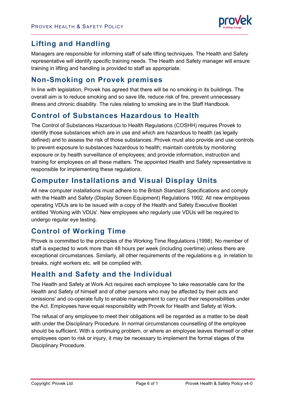

# **Lifting and Handling**

Managers are responsible for informing staff of safe lifting techniques. The Health and Safety representative will identify specific training needs. The Health and Safety manager will ensure training in lifting and handling is provided to staff as appropriate.

### **Non-Smoking on Provek premises**

In line with legislation, Provek has agreed that there will be no smoking in its buildings. The overall aim is to reduce smoking and so save life, reduce risk of fire, prevent unnecessary illness and chronic disability. The rules relating to smoking are in the Staff Handbook.

### **Control of Substances Hazardous to Health**

The Control of Substances Hazardous to Health Regulations (COSHH) requires Provek to identify those substances which are in use and which are hazardous to health (as legally defined) and to assess the risk of those substances. Provek must also provide and use controls to prevent exposure to substances hazardous to health; maintain controls by monitoring exposure or by health surveillance of employees; and provide information, instruction and training for employees on all these matters. The appointed Health and Safety representative is responsible for implementing these regulations.

# **Computer Installations and Visual Display Units**

All new computer installations must adhere to the British Standard Specifications and comply with the Health and Safety (Display Screen Equipment) Regulations 1992. All new employees operating VDUs are to be issued with a copy of the Health and Safety Executive Booklet entitled 'Working with VDUs'. New employees who regularly use VDUs will be required to undergo regular eye testing.

# **Control of Working Time**

Provek is committed to the principles of the Working Time Regulations (1998). No member of staff is expected to work more than 48 hours per week (including overtime) unless there are exceptional circumstances. Similarly, all other requirements of the regulations e.g. in relation to breaks, night workers etc. will be complied with.

# **Health and Safety and the Individual**

The Health and Safety at Work Act requires each employee 'to take reasonable care for the Health and Safety of himself and of other persons who may be affected by their acts and omissions' and co-operate fully to enable management to carry out their responsibilities under the Act. Employees have equal responsibility with Provek for Health and Safety at Work.

The refusal of any employee to meet their obligations will be regarded as a matter to be dealt with under the Disciplinary Procedure. In normal circumstances counselling of the employee should be sufficient. With a continuing problem, or where an employee leaves themself or other employees open to risk or injury, it may be necessary to implement the formal stages of the Disciplinary Procedure.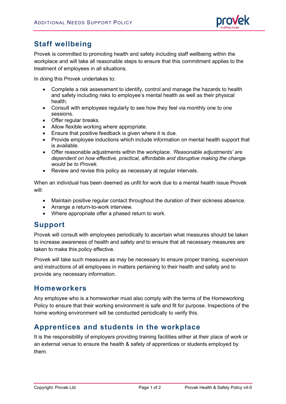

# **Staff wellbeing**

Provek is committed to promoting health and safety including staff wellbeing within the workplace and will take all reasonable steps to ensure that this commitment applies to the treatment of employees in all situations.

In doing this Provek undertakes to:

- Complete a risk assessment to identify, control and manage the hazards to health and safety including risks to employee's mental health as well as their physical health.
- Consult with employees regularly to see how they feel via monthly one to one sessions.
- Offer regular breaks.
- Allow flexible working where appropriate.
- Ensure that positive feedback is given where it is due.
- Provide employee inductions which include information on mental health support that is available.
- Offer reasonable adjustments within the workplace. *'Reasonable adjustments' are dependent on how effective, practical, affordable and disruptive making the change would be to Provek.*
- Review and revise this policy as necessary at regular intervals.

When an individual has been deemed as unfit for work due to a mental health issue Provek will:

- Maintain positive regular contact throughout the duration of their sickness absence.
- Arrange a return-to-work interview.
- Where appropriate offer a phased return to work.

### **Support**

Provek will consult with employees periodically to ascertain what measures should be taken to increase awareness of health and safety and to ensure that all necessary measures are taken to make this policy effective.

Provek will take such measures as may be necessary to ensure proper training, supervision and instructions of all employees in matters pertaining to their health and safety and to provide any necessary information.

#### **Homeworkers**

Any employee who is a homeworker must also comply with the terms of the Homeworking Policy to ensure that their working environment is safe and fit for purpose. Inspections of the home working environment will be conducted periodically to verify this.

### **Apprentices and students in the workplace**

It is the responsibility of employers providing training facilities either at their place of work or an external venue to ensure the health & safety of apprentices or students employed by them.